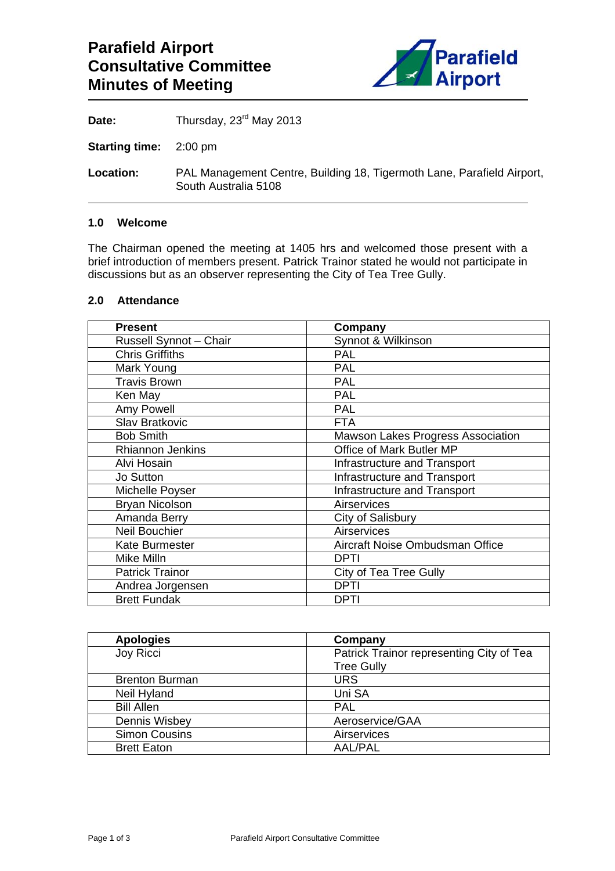

Date: Thursday, 23<sup>rd</sup> May 2013

**Starting time:** 2:00 pm

**Location:** PAL Management Centre, Building 18, Tigermoth Lane, Parafield Airport, South Australia 5108

### **1.0 Welcome**

The Chairman opened the meeting at 1405 hrs and welcomed those present with a brief introduction of members present. Patrick Trainor stated he would not participate in discussions but as an observer representing the City of Tea Tree Gully.

## **2.0 Attendance**

| <b>Present</b>          | Company                                  |
|-------------------------|------------------------------------------|
| Russell Synnot - Chair  | Synnot & Wilkinson                       |
| <b>Chris Griffiths</b>  | <b>PAL</b>                               |
| Mark Young              | <b>PAL</b>                               |
| <b>Travis Brown</b>     | <b>PAL</b>                               |
| Ken May                 | <b>PAL</b>                               |
| Amy Powell              | <b>PAL</b>                               |
| <b>Slav Bratkovic</b>   | <b>FTA</b>                               |
| <b>Bob Smith</b>        | <b>Mawson Lakes Progress Association</b> |
| <b>Rhiannon Jenkins</b> | Office of Mark Butler MP                 |
| Alvi Hosain             | Infrastructure and Transport             |
| <b>Jo Sutton</b>        | Infrastructure and Transport             |
| Michelle Poyser         | Infrastructure and Transport             |
| <b>Bryan Nicolson</b>   | Airservices                              |
| Amanda Berry            | City of Salisbury                        |
| Neil Bouchier           | Airservices                              |
| <b>Kate Burmester</b>   | Aircraft Noise Ombudsman Office          |
| Mike Milln              | DPTI                                     |
| <b>Patrick Trainor</b>  | <b>City of Tea Tree Gully</b>            |
| Andrea Jorgensen        | DPTI                                     |
| <b>Brett Fundak</b>     | DPTI                                     |

| <b>Apologies</b>      | Company                                  |
|-----------------------|------------------------------------------|
| Joy Ricci             | Patrick Trainor representing City of Tea |
|                       | <b>Tree Gully</b>                        |
| <b>Brenton Burman</b> | <b>URS</b>                               |
| Neil Hyland           | Uni SA                                   |
| <b>Bill Allen</b>     | <b>PAL</b>                               |
| Dennis Wisbey         | Aeroservice/GAA                          |
| <b>Simon Cousins</b>  | Airservices                              |
| <b>Brett Eaton</b>    | <b>AAL/PAL</b>                           |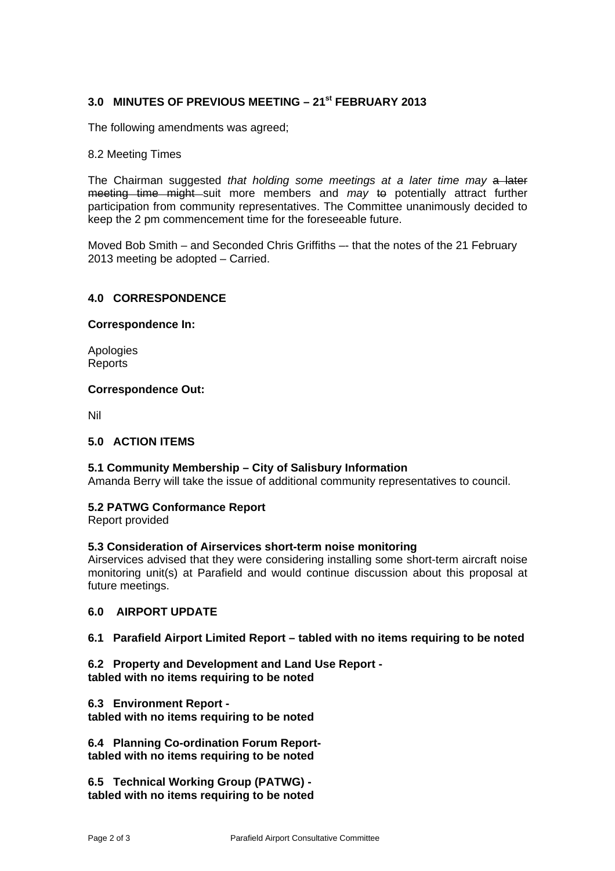# **3.0 MINUTES OF PREVIOUS MEETING – 21st FEBRUARY 2013**

The following amendments was agreed;

### 8.2 Meeting Times

The Chairman suggested *that holding some meetings at a later time may* a later meeting time might suit more members and *may* to potentially attract further participation from community representatives. The Committee unanimously decided to keep the 2 pm commencement time for the foreseeable future.

Moved Bob Smith – and Seconded Chris Griffiths –- that the notes of the 21 February 2013 meeting be adopted – Carried.

## **4.0 CORRESPONDENCE**

#### **Correspondence In:**

Apologies **Reports** 

## **Correspondence Out:**

Nil

### **5.0 ACTION ITEMS**

# **5.1 Community Membership – City of Salisbury Information**

Amanda Berry will take the issue of additional community representatives to council.

#### **5.2 PATWG Conformance Report**

Report provided

#### **5.3 Consideration of Airservices short-term noise monitoring**

Airservices advised that they were considering installing some short-term aircraft noise monitoring unit(s) at Parafield and would continue discussion about this proposal at future meetings.

### **6.0 AIRPORT UPDATE**

#### **6.1 Parafield Airport Limited Report – tabled with no items requiring to be noted**

- **6.2 Property and Development and Land Use Report tabled with no items requiring to be noted**
- **6.3 Environment Report**

**tabled with no items requiring to be noted** 

**6.4 Planning Co-ordination Forum Reporttabled with no items requiring to be noted** 

**6.5 Technical Working Group (PATWG) tabled with no items requiring to be noted**